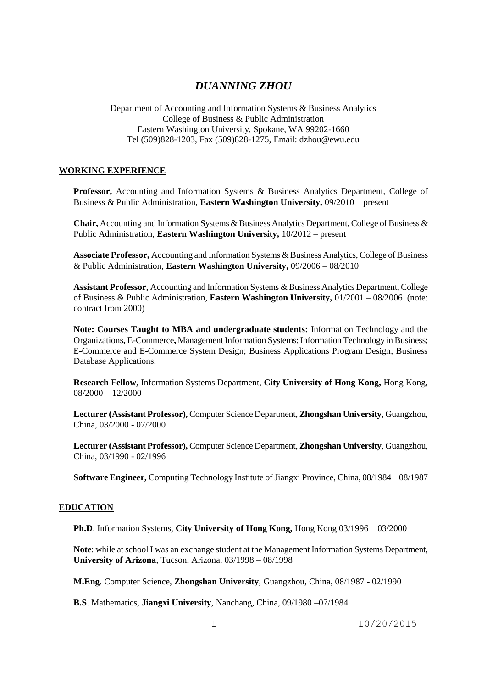# *DUANNING ZHOU*

Department of Accounting and Information Systems & Business Analytics College of Business & Public Administration Eastern Washington University, Spokane, WA 99202-1660 Tel (509)828-1203, Fax (509)828-1275, Email: dzhou@ewu.edu

## **WORKING EXPERIENCE**

**Professor,** Accounting and Information Systems & Business Analytics Department, College of Business & Public Administration, **Eastern Washington University,** 09/2010 – present

**Chair,** Accounting and Information Systems & Business Analytics Department, College of Business & Public Administration, **Eastern Washington University,** 10/2012 – present

**Associate Professor,** Accounting and Information Systems & Business Analytics, College of Business & Public Administration, **Eastern Washington University,** 09/2006 – 08/2010

**Assistant Professor,** Accounting and Information Systems & Business Analytics Department, College of Business & Public Administration, **Eastern Washington University,** 01/2001 – 08/2006 (note: contract from 2000)

**Note: Courses Taught to MBA and undergraduate students:** Information Technology and the Organizations**,** E-Commerce**,** Management Information Systems; Information Technology in Business; E-Commerce and E-Commerce System Design; Business Applications Program Design; Business Database Applications.

**Research Fellow,** Information Systems Department, **City University of Hong Kong,** Hong Kong,  $08/2000 - 12/2000$ 

**Lecturer (Assistant Professor),** Computer Science Department, **Zhongshan University**, Guangzhou, China, 03/2000 - 07/2000

**Lecturer (Assistant Professor),** Computer Science Department, **Zhongshan University**, Guangzhou, China, 03/1990 - 02/1996

**Software Engineer,** Computing Technology Institute of Jiangxi Province, China, 08/1984 – 08/1987

### **EDUCATION**

**Ph.D**. Information Systems, **City University of Hong Kong,** Hong Kong 03/1996 – 03/2000

**Note**: while at school I was an exchange student at the Management Information Systems Department, **University of Arizona**, Tucson, Arizona, 03/1998 – 08/1998

**M.Eng**. Computer Science, **Zhongshan University**, Guangzhou, China, 08/1987 - 02/1990

**B.S**. Mathematics, **Jiangxi University**, Nanchang, China, 09/1980 –07/1984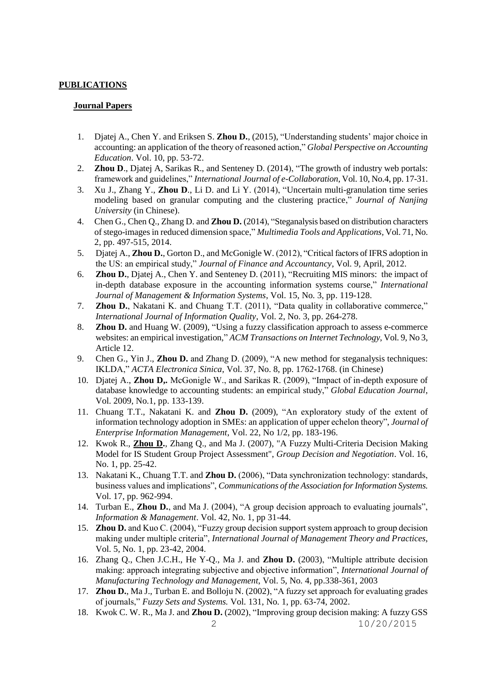## **PUBLICATIONS**

## **Journal Papers**

- 1. Djatej A., Chen Y. and Eriksen S. **Zhou D.**, (2015), "Understanding students' major choice in accounting: an application of the theory of reasoned action," *Global Perspective on Accounting Education*. Vol. 10, pp. 53-72.
- 2. **Zhou D**., Djatej A, Sarikas R., and Senteney D. (2014), "The growth of industry web portals: framework and guidelines," *International Journal of e-Collaboration*, Vol. 10, No.4, pp. 17-31.
- 3. Xu J., Zhang Y., **Zhou D**., Li D. and Li Y. (2014), "Uncertain multi-granulation time series modeling based on granular computing and the clustering practice," *Journal of Nanjing University* (in Chinese).
- 4. Chen G., Chen Q., Zhang D. and **Zhou D.** (2014), "Steganalysis based on distribution characters of stego-images in reduced dimension space," *Multimedia Tools and Applications,* Vol. 71, No. 2, pp. 497-515, 2014.
- 5. Djatej A., **Zhou D.**, Gorton D., and McGonigle W. (2012), "Critical factors of IFRS adoption in the US: an empirical study," *Journal of Finance and Accountancy*, Vol. 9, April, 2012.
- 6. **Zhou D.**, Djatej A., Chen Y. and Senteney D. (2011), "Recruiting MIS minors: the impact of in-depth database exposure in the accounting information systems course," *International Journal of Management & Information Systems*, Vol. 15, No. 3, pp. 119-128.
- 7. **Zhou D.**, Nakatani K. and Chuang T.T. (2011), "Data quality in collaborative commerce," *International Journal of Information Quality*, Vol. 2, No. 3, pp. 264-278.
- 8. **Zhou D.** and Huang W. (2009), "Using a fuzzy classification approach to assess e-commerce websites: an empirical investigation," *ACM Transactions on Internet Technology*, Vol. 9, No 3, Article 12.
- 9. Chen G., Yin J., **Zhou D.** and Zhang D. (2009), "A new method for steganalysis techniques: IKLDA," *ACTA Electronica Sinica*, Vol. 37, No. 8, pp. 1762-1768. (in Chinese)
- 10. Djatej A., **Zhou D,.** McGonigle W., and Sarikas R. (2009), "Impact of in-depth exposure of database knowledge to accounting students: an empirical study," *Global Education Journal*, Vol. 2009, No.1, pp. 133-139.
- 11. Chuang T.T., Nakatani K. and **Zhou D.** (2009), "An exploratory study of the extent of information technology adoption in SMEs: an application of upper echelon theory", *Journal of Enterprise Information Management*, Vol. 22, No 1/2, pp. 183-196.
- 12. Kwok R., **Zhou D.**, Zhang Q., and Ma J. (2007), "A Fuzzy Multi-Criteria Decision Making Model for IS Student Group Project Assessment", *Group Decision and Negotiation*. Vol. 16, No. 1, pp. 25-42.
- 13. Nakatani K., Chuang T.T. and **Zhou D.** (2006), "Data synchronization technology: standards, business values and implications", *Communications of the Association for Information Systems.* Vol. 17, pp. 962-994.
- 14. Turban E., **Zhou D.**, and Ma J. (2004), "A group decision approach to evaluating journals", *Information & Management*. Vol. 42, No. 1, pp 31-44.
- 15. **Zhou D.** and Kuo C. (2004), "Fuzzy group decision support system approach to group decision making under multiple criteria", *International Journal of Management Theory and Practices*, Vol. 5, No. 1, pp. 23-42, 2004.
- 16. Zhang Q., Chen J.C.H., He Y-Q., Ma J. and **Zhou D.** (2003), "Multiple attribute decision making: approach integrating subjective and objective information", *International Journal of Manufacturing Technology and Management*, Vol. 5, No. 4, pp.338-361, 2003
- 17. **Zhou D.**, Ma J., Turban E. and Bolloju N. (2002), "A fuzzy set approach for evaluating grades of journals," *Fuzzy Sets and Systems.* Vol. 131, No. 1, pp. 63-74, 2002.
- 2 10/20/2015 18. Kwok C. W. R., Ma J. and **Zhou D.** (2002), "Improving group decision making: A fuzzy GSS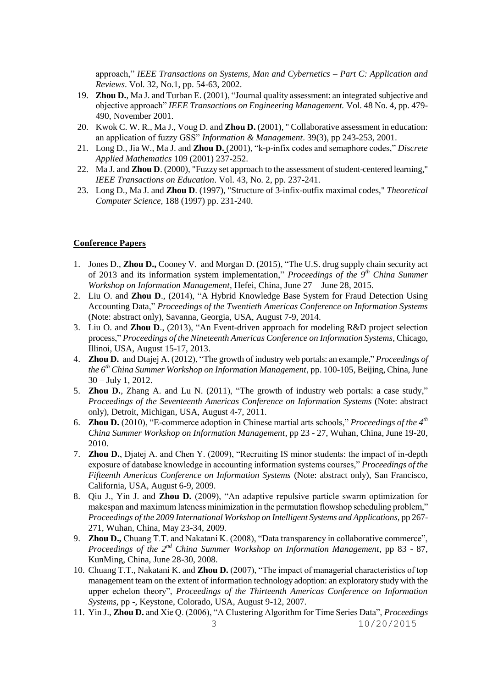approach," *IEEE Transactions on Systems, Man and Cybernetics – Part C: Application and Reviews*. Vol. 32, No.1, pp. 54-63, 2002.

- 19. **Zhou D.**, Ma J. and Turban E. (2001), "Journal quality assessment: an integrated subjective and objective approach" *IEEE Transactions on Engineering Management.* Vol. 48 No. 4, pp. 479- 490, November 2001.
- 20. Kwok C. W. R., Ma J., Voug D. and **Zhou D.** (2001), " Collaborative assessment in education: an application of fuzzy GSS" *Information & Management*. 39(3), pp 243-253, 2001.
- 21. Long D., Jia W., Ma J. and **Zhou D.** (2001), "k-p-infix codes and semaphore codes," *Discrete Applied Mathematics* 109 (2001) 237-252.
- 22. Ma J. and **Zhou D**. (2000), "Fuzzy set approach to the assessment of student-centered learning," *IEEE Transactions on Education*. Vol. 43, No. 2, pp. 237-241.
- 23. Long D., Ma J. and **Zhou D**. (1997), "Structure of 3-infix-outfix maximal codes," *Theoretical Computer Science,* 188 (1997) pp. 231-240.

## **Conference Papers**

- 1. Jones D., **Zhou D.,** Cooney V. and Morgan D. (2015), "The U.S. drug supply chain security act of 2013 and its information system implementation," Proceedings of the 9<sup>th</sup> China Summer *Workshop on Information Management*, Hefei, China, June 27 – June 28, 2015.
- 2. Liu O. and **Zhou D**., (2014), "A Hybrid Knowledge Base System for Fraud Detection Using Accounting Data," *Proceedings of the Twentieth Americas Conference on Information Systems*  (Note: abstract only), Savanna, Georgia, USA, August 7-9, 2014.
- 3. Liu O. and **Zhou D**., (2013), "An Event-driven approach for modeling R&D project selection process," *Proceedings of the Nineteenth Americas Conference on Information Systems*, Chicago, Illinoi, USA, August 15-17, 2013.
- 4. **Zhou D.** and Dtajej A. (2012), "The growth of industry web portals: an example," *Proceedings of the 6 th China Summer Workshop on Information Management*, pp. 100-105, Beijing, China, June 30 – July 1, 2012.
- 5. **Zhou D.**, Zhang A. and Lu N. (2011), "The growth of industry web portals: a case study," *Proceedings of the Seventeenth Americas Conference on Information Systems* (Note: abstract only), Detroit, Michigan, USA, August 4-7, 2011.
- 6. **Zhou D.** (2010), "E-commerce adoption in Chinese martial arts schools," *Proceedings of the 4th China Summer Workshop on Information Management*, pp 23 - 27, Wuhan, China, June 19-20, 2010.
- 7. **Zhou D.**, Djatej A. and Chen Y. (2009), "Recruiting IS minor students: the impact of in-depth exposure of database knowledge in accounting information systems courses," *Proceedings of the Fifteenth Americas Conference on Information Systems* (Note: abstract only), San Francisco, California, USA, August 6-9, 2009.
- 8. Qiu J., Yin J. and **Zhou D.** (2009), "An adaptive repulsive particle swarm optimization for makespan and maximum lateness minimization in the permutation flowshop scheduling problem," *Proceedings of the 2009 International Workshop on Intelligent Systems and Applications*, pp 267- 271, Wuhan, China, May 23-34, 2009.
- 9. **Zhou D.,** Chuang T.T. and Nakatani K. (2008), "Data transparency in collaborative commerce", *Proceedings of the 2nd China Summer Workshop on Information Management*, pp 83 - 87, KunMing, China, June 28-30, 2008.
- 10. Chuang T.T., Nakatani K. and **Zhou D.** (2007), "The impact of managerial characteristics of top management team on the extent of information technology adoption: an exploratory study with the upper echelon theory", *Proceedings of the Thirteenth Americas Conference on Information Systems*, pp -, Keystone, Colorado, USA, August 9-12, 2007.
- 3 10/20/2015 11. Yin J., **Zhou D.** and Xie Q. (2006), "A Clustering Algorithm for Time Series Data", *Proceedings*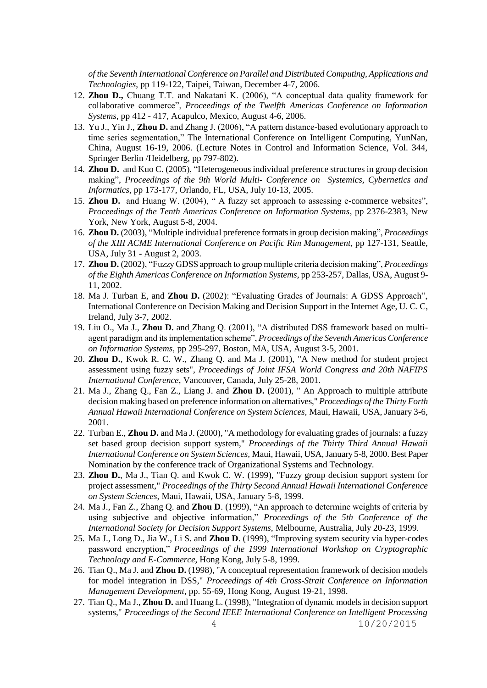*of the Seventh International Conference on Parallel and Distributed Computing, Applications and Technologies*, pp 119-122, Taipei, Taiwan, December 4-7, 2006.

- 12. **Zhou D.,** Chuang T.T. and Nakatani K. (2006), "A conceptual data quality framework for collaborative commerce", *Proceedings of the Twelfth Americas Conference on Information Systems*, pp 412 - 417, Acapulco, Mexico, August 4-6, 2006.
- 13. Yu J., Yin J., **Zhou D.** and Zhang J. (2006), "A pattern distance-based evolutionary approach to time series segmentation," The International Conference on Intelligent Computing, YunNan, China, August 16-19, 2006. (Lecture Notes in Control and Information Science, Vol. 344, Springer Berlin /Heidelberg, pp 797-802).
- 14. **Zhou D.** and Kuo C. (2005), "Heterogeneous individual preference structures in group decision making", *Proceedings of the 9th World Multi- Conference on Systemics, Cybernetics and Informatics*, pp 173-177, Orlando, FL, USA, July 10-13, 2005.
- 15. **Zhou D.** and Huang W. (2004), " A fuzzy set approach to assessing e-commerce websites", *Proceedings of the Tenth Americas Conference on Information Systems*, pp 2376-2383, New York, New York, August 5-8, 2004.
- 16. **Zhou D.** (2003), "Multiple individual preference formats in group decision making", *Proceedings of the XIII ACME International Conference on Pacific Rim Management*, pp 127-131, Seattle, USA, July 31 - August 2, 2003.
- 17. **Zhou D.** (2002), "Fuzzy GDSS approach to group multiple criteria decision making", *Proceedings of the Eighth Americas Conference on Information Systems*, pp 253-257, Dallas, USA, August 9- 11, 2002.
- 18. Ma J. Turban E, and **Zhou D.** (2002): "Evaluating Grades of Journals: A GDSS Approach", International Conference on Decision Making and Decision Support in the Internet Age, U. C. C, Ireland, July 3-7, 2002.
- 19. Liu O., Ma J., **Zhou D.** and Zhang Q. (2001), "A distributed DSS framework based on multiagent paradigm and its implementation scheme", *Proceedings of the Seventh Americas Conference on Information Systems*, pp 295-297, Boston, MA, USA, August 3-5, 2001.
- 20. **Zhou D.**, Kwok R. C. W., Zhang Q. and Ma J. (2001), "A New method for student project assessment using fuzzy sets", *Proceedings of Joint IFSA World Congress and 20th NAFIPS International Conference*, Vancouver, Canada, July 25-28, 2001.
- 21. Ma J., Zhang Q., Fan Z., Liang J. and **Zhou D.** (2001), " An Approach to multiple attribute decision making based on preference information on alternatives," *Proceedings of the Thirty Forth Annual Hawaii International Conference on System Sciences,* Maui, Hawaii, USA, January 3-6, 2001.
- 22. Turban E., **Zhou D.** and Ma J. (2000), "A methodology for evaluating grades of journals: a fuzzy set based group decision support system," *Proceedings of the Thirty Third Annual Hawaii International Conference on System Sciences,* Maui, Hawaii, USA, January 5-8, 2000. Best Paper Nomination by the conference track of Organizational Systems and Technology.
- 23. **Zhou D.**, Ma J., Tian Q. and Kwok C. W. (1999), "Fuzzy group decision support system for project assessment," *Proceedings of the Thirty Second Annual Hawaii International Conference on System Sciences,* Maui, Hawaii, USA, January 5-8, 1999.
- 24. Ma J., Fan Z., Zhang Q. and **Zhou D**. (1999), "An approach to determine weights of criteria by using subjective and objective information," *Proceedings of the 5th Conference of the International Society for Decision Support Systems,* Melbourne, Australia, July 20-23, 1999.
- 25. Ma J., Long D., Jia W., Li S. and **Zhou D**. (1999), "Improving system security via hyper-codes password encryption," *Proceedings of the 1999 International Workshop on Cryptographic Technology and E-Commerce*, Hong Kong, July 5-8, 1999.
- 26. Tian Q., Ma J. and **Zhou D.** (1998), "A conceptual representation framework of decision models for model integration in DSS," *Proceedings of 4th Cross-Strait Conference on Information Management Development,* pp. 55-69, Hong Kong, August 19-21, 1998.
- 4 10/20/2015 27. Tian Q., Ma J., **Zhou D.** and Huang L. (1998), "Integration of dynamic models in decision support systems," *Proceedings of the Second IEEE International Conference on Intelligent Processing*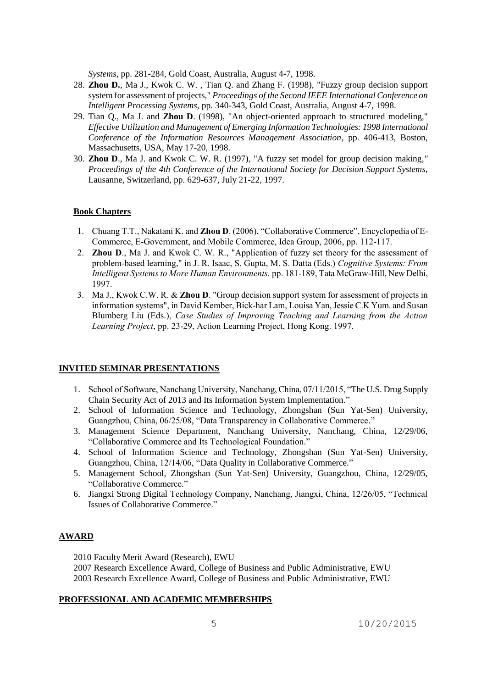*Systems,* pp. 281-284, Gold Coast, Australia, August 4-7, 1998.

- 28. **Zhou D.**, Ma J., Kwok C. W. , Tian Q. and Zhang F. (1998), "Fuzzy group decision support system for assessment of projects," *Proceedings of the Second IEEE International Conference on Intelligent Processing Systems,* pp. 340-343, Gold Coast, Australia, August 4-7, 1998.
- 29. Tian Q., Ma J. and **Zhou D**. (1998), "An object-oriented approach to structured modeling," *Effective Utilization and Management of Emerging Information Technologies: 1998 International Conference of the Information Resources Management Association*, pp. 406-413, Boston, Massachusetts, USA, May 17-20, 1998.
- 30. **Zhou D**., Ma J. and Kwok C. W. R. (1997), "A fuzzy set model for group decision making*," Proceedings of the 4th Conference of the International Society for Decision Support Systems,* Lausanne, Switzerland, pp. 629-637, July 21-22, 1997.

### **Book Chapters**

- 1. Chuang T.T., Nakatani K. and **Zhou D**. (2006), "Collaborative Commerce", Encyclopedia of E-Commerce, E-Government, and Mobile Commerce, Idea Group, 2006, pp. 112-117.
- 2. **Zhou D**., Ma J. and Kwok C. W. R., "Application of fuzzy set theory for the assessment of problem-based learning," in J. R. Isaac, S. Gupta, M. S. Datta (Eds.) *Cognitive Systems: From Intelligent Systems to More Human Environments.* pp. 181-189, Tata McGraw-Hill, New Delhi, 1997.
- 3. Ma J., Kwok C.W. R. & **Zhou D**. "Group decision support system for assessment of projects in information systems", in David Kember, Bick-har Lam, Louisa Yan, Jessie C.K Yum. and Susan Blumberg Liu (Eds.), *Case Studies of Improving Teaching and Learning from the Action Learning Project*, pp. 23-29, Action Learning Project, Hong Kong. 1997.

#### **INVITED SEMINAR PRESENTATIONS**

- 1. School of Software, Nanchang University, Nanchang, China, 07/11/2015, "The U.S. Drug Supply Chain Security Act of 2013 and Its Information System Implementation."
- 2. School of Information Science and Technology, Zhongshan (Sun Yat-Sen) University, Guangzhou, China, 06/25/08, "Data Transparency in Collaborative Commerce."
- 3. Management Science Department, Nanchang University, Nanchang, China, 12/29/06, "Collaborative Commerce and Its Technological Foundation."
- 4. School of Information Science and Technology, Zhongshan (Sun Yat-Sen) University, Guangzhou, China, 12/14/06, "Data Quality in Collaborative Commerce."
- 5. Management School, Zhongshan (Sun Yat-Sen) University, Guangzhou, China, 12/29/05, "Collaborative Commerce."
- 6. Jiangxi Strong Digital Technology Company, Nanchang, Jiangxi, China, 12/26/05, "Technical Issues of Collaborative Commerce."

## **AWARD**

2010 Faculty Merit Award (Research), EWU

2007 Research Excellence Award, College of Business and Public Administrative, EWU 2003 Research Excellence Award, College of Business and Public Administrative, EWU

### **PROFESSIONAL AND ACADEMIC MEMBERSHIPS**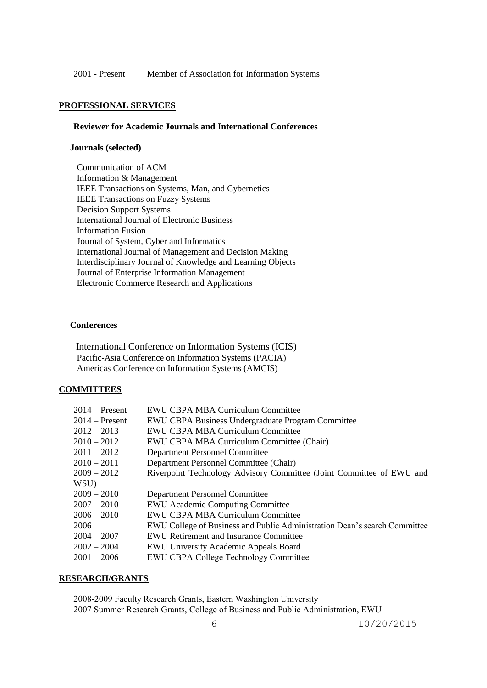2001 - Present Member of Association for Information Systems

## **PROFESSIONAL SERVICES**

## **Reviewer for Academic Journals and International Conferences**

## **Journals (selected)**

 Communication of ACM Information & Management IEEE Transactions on Systems, Man, and Cybernetics IEEE Transactions on Fuzzy Systems Decision Support Systems International Journal of Electronic Business Information Fusion Journal of System, Cyber and Informatics International Journal of Management and Decision Making Interdisciplinary Journal of Knowledge and Learning Objects Journal of Enterprise Information Management Electronic Commerce Research and Applications

#### **Conferences**

 International Conference on Information Systems (ICIS) Pacific-Asia Conference on Information Systems (PACIA) Americas Conference on Information Systems (AMCIS)

## **COMMITTEES**

| $2014$ – Present | <b>EWU CBPA MBA Curriculum Committee</b>                                  |
|------------------|---------------------------------------------------------------------------|
| $2014$ – Present | EWU CBPA Business Undergraduate Program Committee                         |
| $2012 - 2013$    | EWU CBPA MBA Curriculum Committee                                         |
| $2010 - 2012$    | EWU CBPA MBA Curriculum Committee (Chair)                                 |
| $2011 - 2012$    | <b>Department Personnel Committee</b>                                     |
| $2010 - 2011$    | Department Personnel Committee (Chair)                                    |
| $2009 - 2012$    | Riverpoint Technology Advisory Committee (Joint Committee of EWU and      |
| WSU)             |                                                                           |
| $2009 - 2010$    | Department Personnel Committee                                            |
| $2007 - 2010$    | <b>EWU</b> Academic Computing Committee                                   |
| $2006 - 2010$    | EWU CBPA MBA Curriculum Committee                                         |
| 2006             | EWU College of Business and Public Administration Dean's search Committee |
| $2004 - 2007$    | <b>EWU Retirement and Insurance Committee</b>                             |
| $2002 - 2004$    | <b>EWU University Academic Appeals Board</b>                              |
| $2001 - 2006$    | <b>EWU CBPA College Technology Committee</b>                              |

### **RESEARCH/GRANTS**

2008-2009 Faculty Research Grants, Eastern Washington University 2007 Summer Research Grants, College of Business and Public Administration, EWU